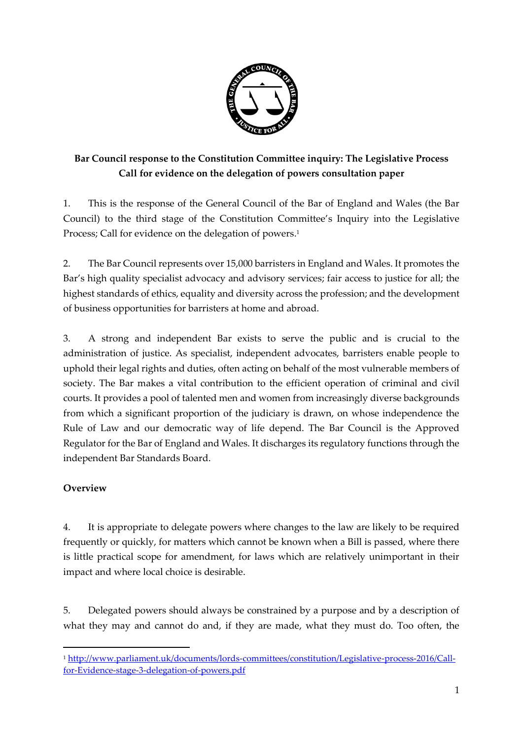

# **Bar Council response to the Constitution Committee inquiry: The Legislative Process Call for evidence on the delegation of powers consultation paper**

1. This is the response of the General Council of the Bar of England and Wales (the Bar Council) to the third stage of the Constitution Committee's Inquiry into the Legislative Process; Call for evidence on the delegation of powers. 1

2. The Bar Council represents over 15,000 barristers in England and Wales. It promotes the Bar's high quality specialist advocacy and advisory services; fair access to justice for all; the highest standards of ethics, equality and diversity across the profession; and the development of business opportunities for barristers at home and abroad.

3. A strong and independent Bar exists to serve the public and is crucial to the administration of justice. As specialist, independent advocates, barristers enable people to uphold their legal rights and duties, often acting on behalf of the most vulnerable members of society. The Bar makes a vital contribution to the efficient operation of criminal and civil courts. It provides a pool of talented men and women from increasingly diverse backgrounds from which a significant proportion of the judiciary is drawn, on whose independence the Rule of Law and our democratic way of life depend. The Bar Council is the Approved Regulator for the Bar of England and Wales. It discharges its regulatory functions through the independent Bar Standards Board.

## **Overview**

1

4. It is appropriate to delegate powers where changes to the law are likely to be required frequently or quickly, for matters which cannot be known when a Bill is passed, where there is little practical scope for amendment, for laws which are relatively unimportant in their impact and where local choice is desirable.

5. Delegated powers should always be constrained by a purpose and by a description of what they may and cannot do and, if they are made, what they must do. Too often, the

<sup>1</sup> [http://www.parliament.uk/documents/lords-committees/constitution/Legislative-process-2016/Call](http://www.parliament.uk/documents/lords-committees/constitution/Legislative-process-2016/Call-for-Evidence-stage-3-delegation-of-powers.pdf)[for-Evidence-stage-3-delegation-of-powers.pdf](http://www.parliament.uk/documents/lords-committees/constitution/Legislative-process-2016/Call-for-Evidence-stage-3-delegation-of-powers.pdf)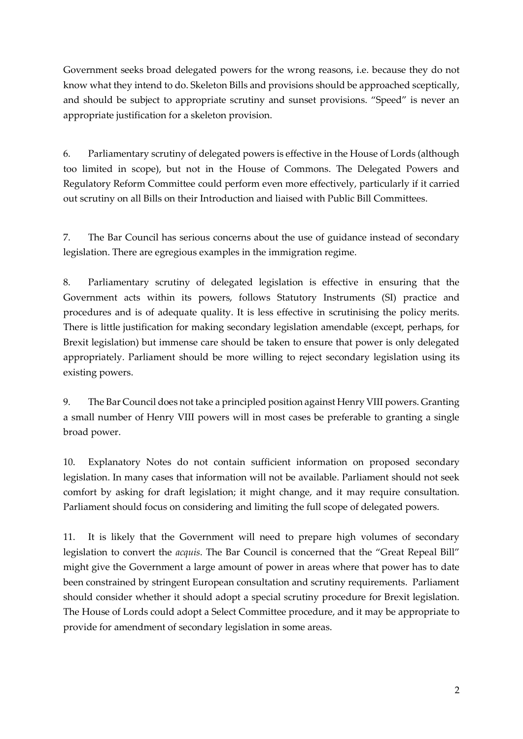Government seeks broad delegated powers for the wrong reasons, i.e. because they do not know what they intend to do. Skeleton Bills and provisions should be approached sceptically, and should be subject to appropriate scrutiny and sunset provisions. "Speed" is never an appropriate justification for a skeleton provision.

6. Parliamentary scrutiny of delegated powers is effective in the House of Lords (although too limited in scope), but not in the House of Commons. The Delegated Powers and Regulatory Reform Committee could perform even more effectively, particularly if it carried out scrutiny on all Bills on their Introduction and liaised with Public Bill Committees.

7. The Bar Council has serious concerns about the use of guidance instead of secondary legislation. There are egregious examples in the immigration regime.

8. Parliamentary scrutiny of delegated legislation is effective in ensuring that the Government acts within its powers, follows Statutory Instruments (SI) practice and procedures and is of adequate quality. It is less effective in scrutinising the policy merits. There is little justification for making secondary legislation amendable (except, perhaps, for Brexit legislation) but immense care should be taken to ensure that power is only delegated appropriately. Parliament should be more willing to reject secondary legislation using its existing powers.

9. The Bar Council does not take a principled position against Henry VIII powers. Granting a small number of Henry VIII powers will in most cases be preferable to granting a single broad power.

10. Explanatory Notes do not contain sufficient information on proposed secondary legislation. In many cases that information will not be available. Parliament should not seek comfort by asking for draft legislation; it might change, and it may require consultation. Parliament should focus on considering and limiting the full scope of delegated powers.

11. It is likely that the Government will need to prepare high volumes of secondary legislation to convert the *acquis*. The Bar Council is concerned that the "Great Repeal Bill" might give the Government a large amount of power in areas where that power has to date been constrained by stringent European consultation and scrutiny requirements. Parliament should consider whether it should adopt a special scrutiny procedure for Brexit legislation. The House of Lords could adopt a Select Committee procedure, and it may be appropriate to provide for amendment of secondary legislation in some areas.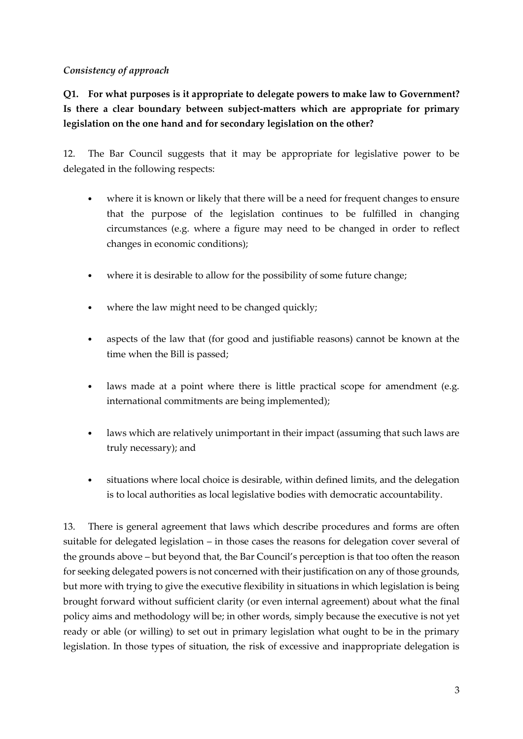### *Consistency of approach*

**Q1. For what purposes is it appropriate to delegate powers to make law to Government? Is there a clear boundary between subject-matters which are appropriate for primary legislation on the one hand and for secondary legislation on the other?**

12. The Bar Council suggests that it may be appropriate for legislative power to be delegated in the following respects:

- where it is known or likely that there will be a need for frequent changes to ensure that the purpose of the legislation continues to be fulfilled in changing circumstances (e.g. where a figure may need to be changed in order to reflect changes in economic conditions);
- where it is desirable to allow for the possibility of some future change;
- where the law might need to be changed quickly;
- aspects of the law that (for good and justifiable reasons) cannot be known at the time when the Bill is passed;
- laws made at a point where there is little practical scope for amendment (e.g. international commitments are being implemented);
- laws which are relatively unimportant in their impact (assuming that such laws are truly necessary); and
- situations where local choice is desirable, within defined limits, and the delegation is to local authorities as local legislative bodies with democratic accountability.

13. There is general agreement that laws which describe procedures and forms are often suitable for delegated legislation – in those cases the reasons for delegation cover several of the grounds above – but beyond that, the Bar Council's perception is that too often the reason for seeking delegated powers is not concerned with their justification on any of those grounds, but more with trying to give the executive flexibility in situations in which legislation is being brought forward without sufficient clarity (or even internal agreement) about what the final policy aims and methodology will be; in other words, simply because the executive is not yet ready or able (or willing) to set out in primary legislation what ought to be in the primary legislation. In those types of situation, the risk of excessive and inappropriate delegation is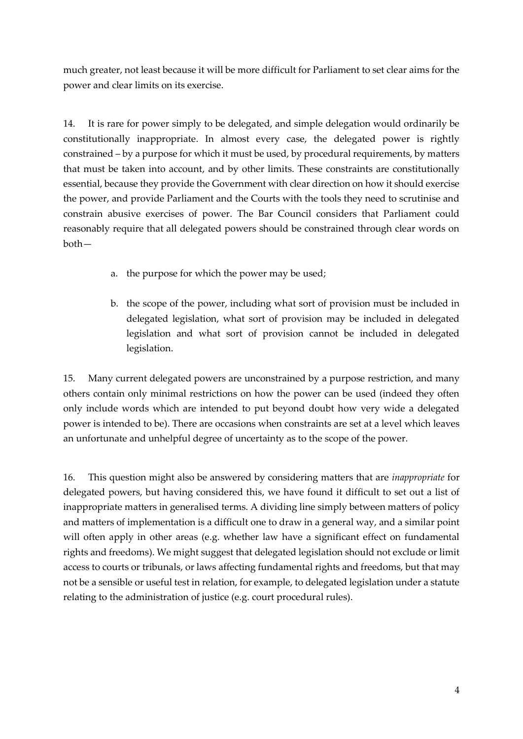much greater, not least because it will be more difficult for Parliament to set clear aims for the power and clear limits on its exercise.

14. It is rare for power simply to be delegated, and simple delegation would ordinarily be constitutionally inappropriate. In almost every case, the delegated power is rightly constrained – by a purpose for which it must be used, by procedural requirements, by matters that must be taken into account, and by other limits. These constraints are constitutionally essential, because they provide the Government with clear direction on how it should exercise the power, and provide Parliament and the Courts with the tools they need to scrutinise and constrain abusive exercises of power. The Bar Council considers that Parliament could reasonably require that all delegated powers should be constrained through clear words on both—

- a. the purpose for which the power may be used;
- b. the scope of the power, including what sort of provision must be included in delegated legislation, what sort of provision may be included in delegated legislation and what sort of provision cannot be included in delegated legislation.

15. Many current delegated powers are unconstrained by a purpose restriction, and many others contain only minimal restrictions on how the power can be used (indeed they often only include words which are intended to put beyond doubt how very wide a delegated power is intended to be). There are occasions when constraints are set at a level which leaves an unfortunate and unhelpful degree of uncertainty as to the scope of the power.

16. This question might also be answered by considering matters that are *inappropriate* for delegated powers, but having considered this, we have found it difficult to set out a list of inappropriate matters in generalised terms. A dividing line simply between matters of policy and matters of implementation is a difficult one to draw in a general way, and a similar point will often apply in other areas (e.g. whether law have a significant effect on fundamental rights and freedoms). We might suggest that delegated legislation should not exclude or limit access to courts or tribunals, or laws affecting fundamental rights and freedoms, but that may not be a sensible or useful test in relation, for example, to delegated legislation under a statute relating to the administration of justice (e.g. court procedural rules).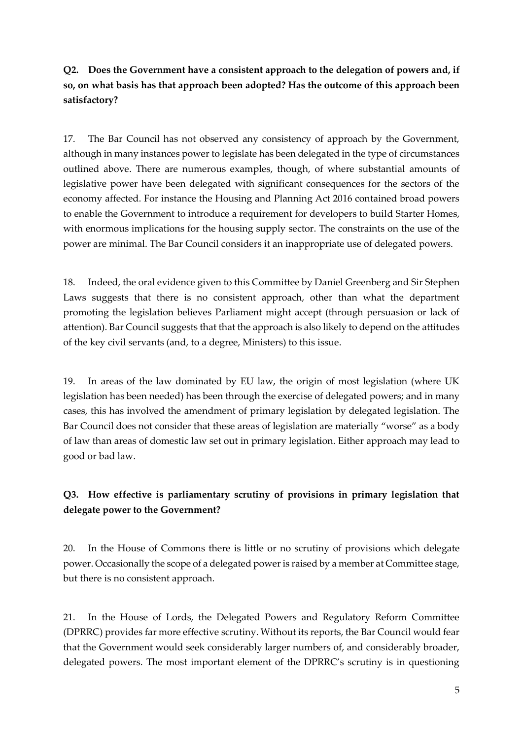# **Q2. Does the Government have a consistent approach to the delegation of powers and, if so, on what basis has that approach been adopted? Has the outcome of this approach been satisfactory?**

17. The Bar Council has not observed any consistency of approach by the Government, although in many instances power to legislate has been delegated in the type of circumstances outlined above. There are numerous examples, though, of where substantial amounts of legislative power have been delegated with significant consequences for the sectors of the economy affected. For instance the Housing and Planning Act 2016 contained broad powers to enable the Government to introduce a requirement for developers to build Starter Homes, with enormous implications for the housing supply sector. The constraints on the use of the power are minimal. The Bar Council considers it an inappropriate use of delegated powers.

18. Indeed, the oral evidence given to this Committee by Daniel Greenberg and Sir Stephen Laws suggests that there is no consistent approach, other than what the department promoting the legislation believes Parliament might accept (through persuasion or lack of attention). Bar Council suggests that that the approach is also likely to depend on the attitudes of the key civil servants (and, to a degree, Ministers) to this issue.

19. In areas of the law dominated by EU law, the origin of most legislation (where UK legislation has been needed) has been through the exercise of delegated powers; and in many cases, this has involved the amendment of primary legislation by delegated legislation. The Bar Council does not consider that these areas of legislation are materially "worse" as a body of law than areas of domestic law set out in primary legislation. Either approach may lead to good or bad law.

## **Q3. How effective is parliamentary scrutiny of provisions in primary legislation that delegate power to the Government?**

20. In the House of Commons there is little or no scrutiny of provisions which delegate power. Occasionally the scope of a delegated power is raised by a member at Committee stage, but there is no consistent approach.

21. In the House of Lords, the Delegated Powers and Regulatory Reform Committee (DPRRC) provides far more effective scrutiny. Without its reports, the Bar Council would fear that the Government would seek considerably larger numbers of, and considerably broader, delegated powers. The most important element of the DPRRC's scrutiny is in questioning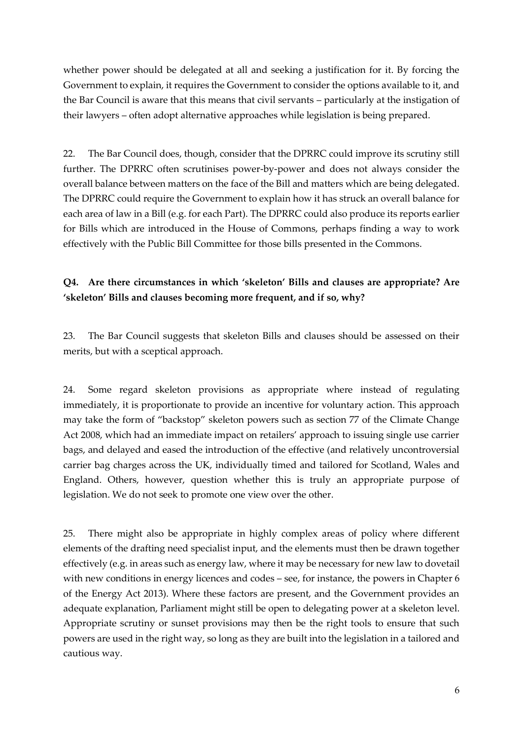whether power should be delegated at all and seeking a justification for it. By forcing the Government to explain, it requires the Government to consider the options available to it, and the Bar Council is aware that this means that civil servants – particularly at the instigation of their lawyers – often adopt alternative approaches while legislation is being prepared.

22. The Bar Council does, though, consider that the DPRRC could improve its scrutiny still further. The DPRRC often scrutinises power-by-power and does not always consider the overall balance between matters on the face of the Bill and matters which are being delegated. The DPRRC could require the Government to explain how it has struck an overall balance for each area of law in a Bill (e.g. for each Part). The DPRRC could also produce its reports earlier for Bills which are introduced in the House of Commons, perhaps finding a way to work effectively with the Public Bill Committee for those bills presented in the Commons.

### **Q4. Are there circumstances in which 'skeleton' Bills and clauses are appropriate? Are 'skeleton' Bills and clauses becoming more frequent, and if so, why?**

23. The Bar Council suggests that skeleton Bills and clauses should be assessed on their merits, but with a sceptical approach.

24. Some regard skeleton provisions as appropriate where instead of regulating immediately, it is proportionate to provide an incentive for voluntary action. This approach may take the form of "backstop" skeleton powers such as section 77 of the Climate Change Act 2008, which had an immediate impact on retailers' approach to issuing single use carrier bags, and delayed and eased the introduction of the effective (and relatively uncontroversial carrier bag charges across the UK, individually timed and tailored for Scotland, Wales and England. Others, however, question whether this is truly an appropriate purpose of legislation. We do not seek to promote one view over the other.

25. There might also be appropriate in highly complex areas of policy where different elements of the drafting need specialist input, and the elements must then be drawn together effectively (e.g. in areas such as energy law, where it may be necessary for new law to dovetail with new conditions in energy licences and codes – see, for instance, the powers in Chapter 6 of the Energy Act 2013). Where these factors are present, and the Government provides an adequate explanation, Parliament might still be open to delegating power at a skeleton level. Appropriate scrutiny or sunset provisions may then be the right tools to ensure that such powers are used in the right way, so long as they are built into the legislation in a tailored and cautious way.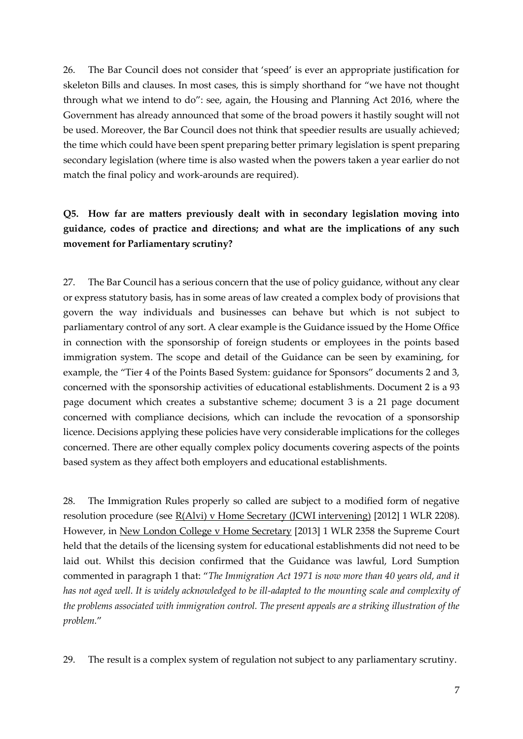26. The Bar Council does not consider that 'speed' is ever an appropriate justification for skeleton Bills and clauses. In most cases, this is simply shorthand for "we have not thought through what we intend to do": see, again, the Housing and Planning Act 2016, where the Government has already announced that some of the broad powers it hastily sought will not be used. Moreover, the Bar Council does not think that speedier results are usually achieved; the time which could have been spent preparing better primary legislation is spent preparing secondary legislation (where time is also wasted when the powers taken a year earlier do not match the final policy and work-arounds are required).

## **Q5. How far are matters previously dealt with in secondary legislation moving into guidance, codes of practice and directions; and what are the implications of any such movement for Parliamentary scrutiny?**

27. The Bar Council has a serious concern that the use of policy guidance, without any clear or express statutory basis, has in some areas of law created a complex body of provisions that govern the way individuals and businesses can behave but which is not subject to parliamentary control of any sort. A clear example is the Guidance issued by the Home Office in connection with the sponsorship of foreign students or employees in the points based immigration system. The scope and detail of the Guidance can be seen by examining, for example, the "Tier 4 of the Points Based System: guidance for Sponsors" documents 2 and 3, concerned with the sponsorship activities of educational establishments. Document 2 is a 93 page document which creates a substantive scheme; document 3 is a 21 page document concerned with compliance decisions, which can include the revocation of a sponsorship licence. Decisions applying these policies have very considerable implications for the colleges concerned. There are other equally complex policy documents covering aspects of the points based system as they affect both employers and educational establishments.

28. The Immigration Rules properly so called are subject to a modified form of negative resolution procedure (see R(Alvi) v Home Secretary (JCWI intervening) [2012] 1 WLR 2208). However, in New London College v Home Secretary [2013] 1 WLR 2358 the Supreme Court held that the details of the licensing system for educational establishments did not need to be laid out. Whilst this decision confirmed that the Guidance was lawful, Lord Sumption commented in paragraph 1 that: "*The Immigration Act 1971 is now more than 40 years old, and it has not aged well. It is widely acknowledged to be ill-adapted to the mounting scale and complexity of the problems associated with immigration control. The present appeals are a striking illustration of the problem.*"

29. The result is a complex system of regulation not subject to any parliamentary scrutiny.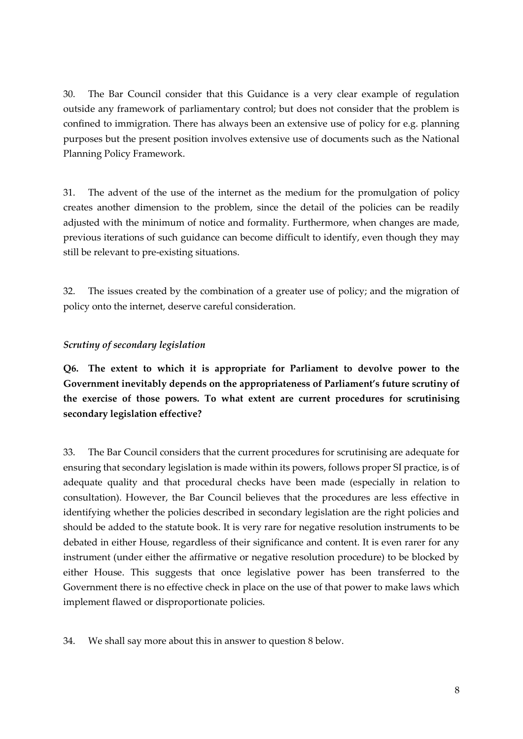30. The Bar Council consider that this Guidance is a very clear example of regulation outside any framework of parliamentary control; but does not consider that the problem is confined to immigration. There has always been an extensive use of policy for e.g. planning purposes but the present position involves extensive use of documents such as the National Planning Policy Framework.

31. The advent of the use of the internet as the medium for the promulgation of policy creates another dimension to the problem, since the detail of the policies can be readily adjusted with the minimum of notice and formality. Furthermore, when changes are made, previous iterations of such guidance can become difficult to identify, even though they may still be relevant to pre-existing situations.

32. The issues created by the combination of a greater use of policy; and the migration of policy onto the internet, deserve careful consideration.

#### *Scrutiny of secondary legislation*

**Q6. The extent to which it is appropriate for Parliament to devolve power to the Government inevitably depends on the appropriateness of Parliament's future scrutiny of the exercise of those powers. To what extent are current procedures for scrutinising secondary legislation effective?**

33. The Bar Council considers that the current procedures for scrutinising are adequate for ensuring that secondary legislation is made within its powers, follows proper SI practice, is of adequate quality and that procedural checks have been made (especially in relation to consultation). However, the Bar Council believes that the procedures are less effective in identifying whether the policies described in secondary legislation are the right policies and should be added to the statute book. It is very rare for negative resolution instruments to be debated in either House, regardless of their significance and content. It is even rarer for any instrument (under either the affirmative or negative resolution procedure) to be blocked by either House. This suggests that once legislative power has been transferred to the Government there is no effective check in place on the use of that power to make laws which implement flawed or disproportionate policies.

34. We shall say more about this in answer to question 8 below.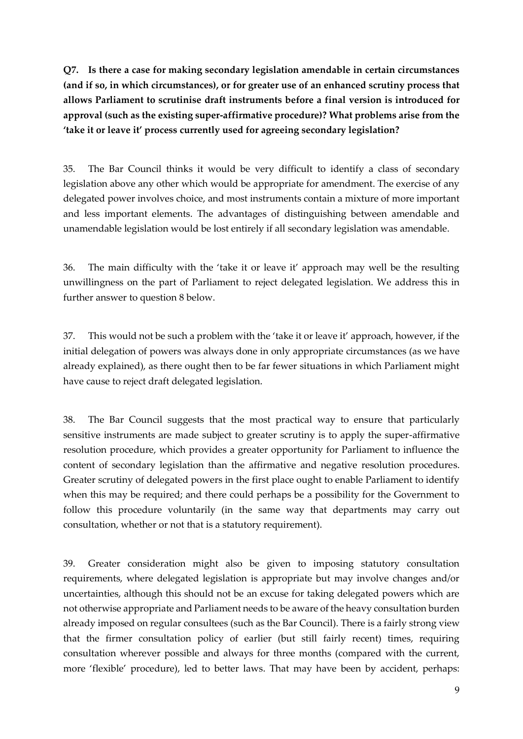**Q7. Is there a case for making secondary legislation amendable in certain circumstances (and if so, in which circumstances), or for greater use of an enhanced scrutiny process that allows Parliament to scrutinise draft instruments before a final version is introduced for approval (such as the existing super-affirmative procedure)? What problems arise from the 'take it or leave it' process currently used for agreeing secondary legislation?**

35. The Bar Council thinks it would be very difficult to identify a class of secondary legislation above any other which would be appropriate for amendment. The exercise of any delegated power involves choice, and most instruments contain a mixture of more important and less important elements. The advantages of distinguishing between amendable and unamendable legislation would be lost entirely if all secondary legislation was amendable.

36. The main difficulty with the 'take it or leave it' approach may well be the resulting unwillingness on the part of Parliament to reject delegated legislation. We address this in further answer to question 8 below.

37. This would not be such a problem with the 'take it or leave it' approach, however, if the initial delegation of powers was always done in only appropriate circumstances (as we have already explained), as there ought then to be far fewer situations in which Parliament might have cause to reject draft delegated legislation.

38. The Bar Council suggests that the most practical way to ensure that particularly sensitive instruments are made subject to greater scrutiny is to apply the super-affirmative resolution procedure, which provides a greater opportunity for Parliament to influence the content of secondary legislation than the affirmative and negative resolution procedures. Greater scrutiny of delegated powers in the first place ought to enable Parliament to identify when this may be required; and there could perhaps be a possibility for the Government to follow this procedure voluntarily (in the same way that departments may carry out consultation, whether or not that is a statutory requirement).

39. Greater consideration might also be given to imposing statutory consultation requirements, where delegated legislation is appropriate but may involve changes and/or uncertainties, although this should not be an excuse for taking delegated powers which are not otherwise appropriate and Parliament needs to be aware of the heavy consultation burden already imposed on regular consultees (such as the Bar Council). There is a fairly strong view that the firmer consultation policy of earlier (but still fairly recent) times, requiring consultation wherever possible and always for three months (compared with the current, more 'flexible' procedure), led to better laws. That may have been by accident, perhaps: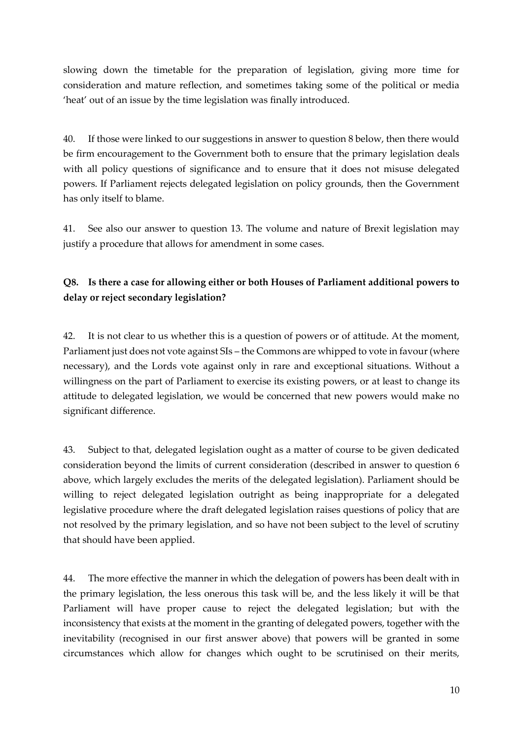slowing down the timetable for the preparation of legislation, giving more time for consideration and mature reflection, and sometimes taking some of the political or media 'heat' out of an issue by the time legislation was finally introduced.

40. If those were linked to our suggestions in answer to question 8 below, then there would be firm encouragement to the Government both to ensure that the primary legislation deals with all policy questions of significance and to ensure that it does not misuse delegated powers. If Parliament rejects delegated legislation on policy grounds, then the Government has only itself to blame.

41. See also our answer to question 13. The volume and nature of Brexit legislation may justify a procedure that allows for amendment in some cases.

# **Q8. Is there a case for allowing either or both Houses of Parliament additional powers to delay or reject secondary legislation?**

42. It is not clear to us whether this is a question of powers or of attitude. At the moment, Parliament just does not vote against SIs – the Commons are whipped to vote in favour (where necessary), and the Lords vote against only in rare and exceptional situations. Without a willingness on the part of Parliament to exercise its existing powers, or at least to change its attitude to delegated legislation, we would be concerned that new powers would make no significant difference.

43. Subject to that, delegated legislation ought as a matter of course to be given dedicated consideration beyond the limits of current consideration (described in answer to question 6 above, which largely excludes the merits of the delegated legislation). Parliament should be willing to reject delegated legislation outright as being inappropriate for a delegated legislative procedure where the draft delegated legislation raises questions of policy that are not resolved by the primary legislation, and so have not been subject to the level of scrutiny that should have been applied.

44. The more effective the manner in which the delegation of powers has been dealt with in the primary legislation, the less onerous this task will be, and the less likely it will be that Parliament will have proper cause to reject the delegated legislation; but with the inconsistency that exists at the moment in the granting of delegated powers, together with the inevitability (recognised in our first answer above) that powers will be granted in some circumstances which allow for changes which ought to be scrutinised on their merits,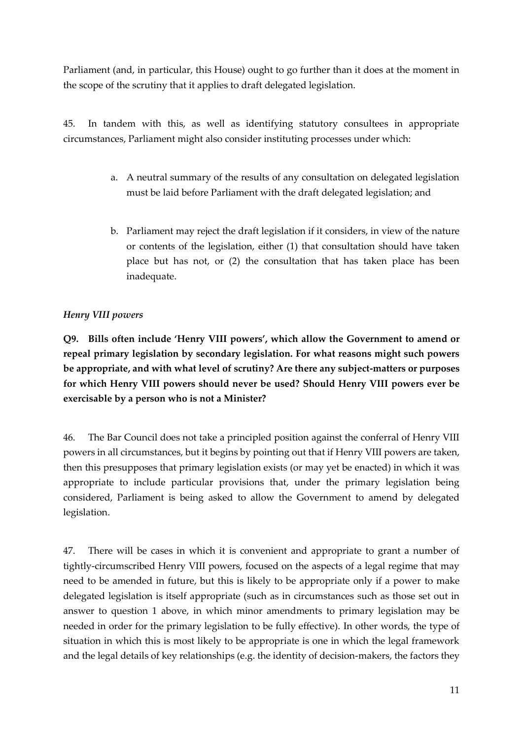Parliament (and, in particular, this House) ought to go further than it does at the moment in the scope of the scrutiny that it applies to draft delegated legislation.

45. In tandem with this, as well as identifying statutory consultees in appropriate circumstances, Parliament might also consider instituting processes under which:

- a. A neutral summary of the results of any consultation on delegated legislation must be laid before Parliament with the draft delegated legislation; and
- b. Parliament may reject the draft legislation if it considers, in view of the nature or contents of the legislation, either (1) that consultation should have taken place but has not, or (2) the consultation that has taken place has been inadequate.

### *Henry VIII powers*

**Q9. Bills often include 'Henry VIII powers', which allow the Government to amend or repeal primary legislation by secondary legislation. For what reasons might such powers be appropriate, and with what level of scrutiny? Are there any subject-matters or purposes for which Henry VIII powers should never be used? Should Henry VIII powers ever be exercisable by a person who is not a Minister?**

46. The Bar Council does not take a principled position against the conferral of Henry VIII powers in all circumstances, but it begins by pointing out that if Henry VIII powers are taken, then this presupposes that primary legislation exists (or may yet be enacted) in which it was appropriate to include particular provisions that, under the primary legislation being considered, Parliament is being asked to allow the Government to amend by delegated legislation.

47. There will be cases in which it is convenient and appropriate to grant a number of tightly-circumscribed Henry VIII powers, focused on the aspects of a legal regime that may need to be amended in future, but this is likely to be appropriate only if a power to make delegated legislation is itself appropriate (such as in circumstances such as those set out in answer to question 1 above, in which minor amendments to primary legislation may be needed in order for the primary legislation to be fully effective). In other words, the type of situation in which this is most likely to be appropriate is one in which the legal framework and the legal details of key relationships (e.g. the identity of decision-makers, the factors they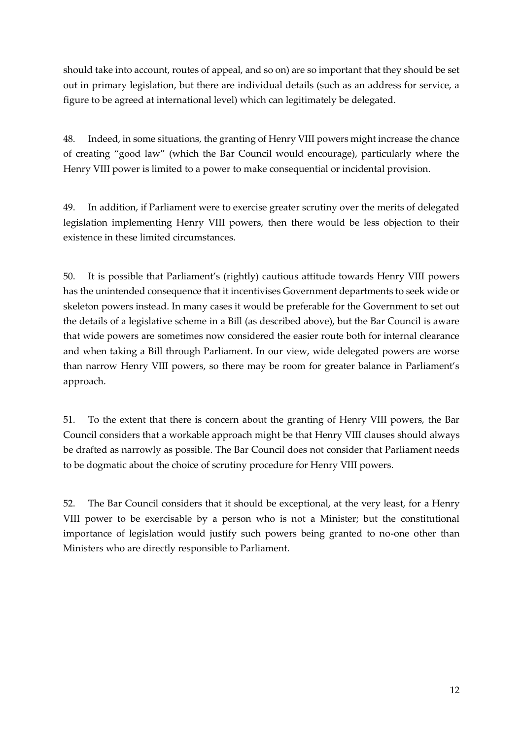should take into account, routes of appeal, and so on) are so important that they should be set out in primary legislation, but there are individual details (such as an address for service, a figure to be agreed at international level) which can legitimately be delegated.

48. Indeed, in some situations, the granting of Henry VIII powers might increase the chance of creating "good law" (which the Bar Council would encourage), particularly where the Henry VIII power is limited to a power to make consequential or incidental provision.

49. In addition, if Parliament were to exercise greater scrutiny over the merits of delegated legislation implementing Henry VIII powers, then there would be less objection to their existence in these limited circumstances.

50. It is possible that Parliament's (rightly) cautious attitude towards Henry VIII powers has the unintended consequence that it incentivises Government departments to seek wide or skeleton powers instead. In many cases it would be preferable for the Government to set out the details of a legislative scheme in a Bill (as described above), but the Bar Council is aware that wide powers are sometimes now considered the easier route both for internal clearance and when taking a Bill through Parliament. In our view, wide delegated powers are worse than narrow Henry VIII powers, so there may be room for greater balance in Parliament's approach.

51. To the extent that there is concern about the granting of Henry VIII powers, the Bar Council considers that a workable approach might be that Henry VIII clauses should always be drafted as narrowly as possible. The Bar Council does not consider that Parliament needs to be dogmatic about the choice of scrutiny procedure for Henry VIII powers.

52. The Bar Council considers that it should be exceptional, at the very least, for a Henry VIII power to be exercisable by a person who is not a Minister; but the constitutional importance of legislation would justify such powers being granted to no-one other than Ministers who are directly responsible to Parliament.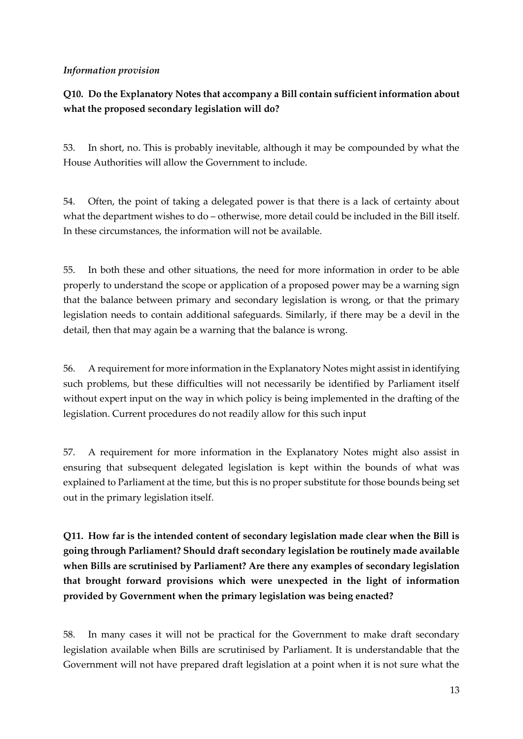### *Information provision*

### **Q10. Do the Explanatory Notes that accompany a Bill contain sufficient information about what the proposed secondary legislation will do?**

53. In short, no. This is probably inevitable, although it may be compounded by what the House Authorities will allow the Government to include.

54. Often, the point of taking a delegated power is that there is a lack of certainty about what the department wishes to do – otherwise, more detail could be included in the Bill itself. In these circumstances, the information will not be available.

55. In both these and other situations, the need for more information in order to be able properly to understand the scope or application of a proposed power may be a warning sign that the balance between primary and secondary legislation is wrong, or that the primary legislation needs to contain additional safeguards. Similarly, if there may be a devil in the detail, then that may again be a warning that the balance is wrong.

56. A requirement for more information in the Explanatory Notes might assist in identifying such problems, but these difficulties will not necessarily be identified by Parliament itself without expert input on the way in which policy is being implemented in the drafting of the legislation. Current procedures do not readily allow for this such input

57. A requirement for more information in the Explanatory Notes might also assist in ensuring that subsequent delegated legislation is kept within the bounds of what was explained to Parliament at the time, but this is no proper substitute for those bounds being set out in the primary legislation itself.

**Q11. How far is the intended content of secondary legislation made clear when the Bill is going through Parliament? Should draft secondary legislation be routinely made available when Bills are scrutinised by Parliament? Are there any examples of secondary legislation that brought forward provisions which were unexpected in the light of information provided by Government when the primary legislation was being enacted?**

58. In many cases it will not be practical for the Government to make draft secondary legislation available when Bills are scrutinised by Parliament. It is understandable that the Government will not have prepared draft legislation at a point when it is not sure what the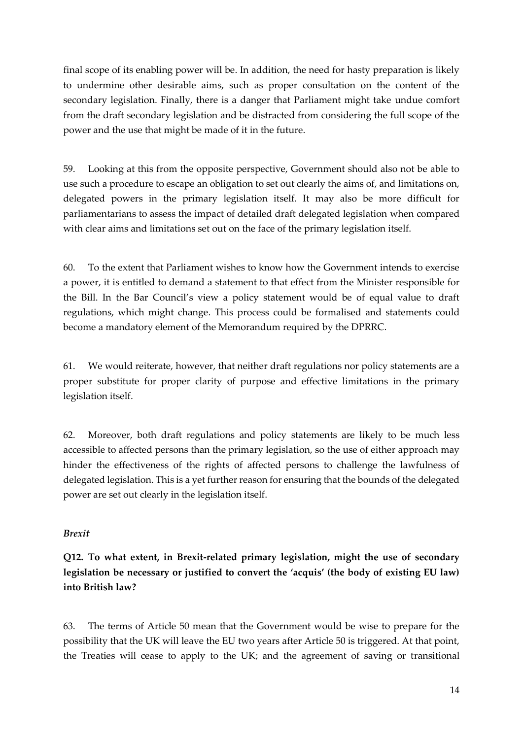final scope of its enabling power will be. In addition, the need for hasty preparation is likely to undermine other desirable aims, such as proper consultation on the content of the secondary legislation. Finally, there is a danger that Parliament might take undue comfort from the draft secondary legislation and be distracted from considering the full scope of the power and the use that might be made of it in the future.

59. Looking at this from the opposite perspective, Government should also not be able to use such a procedure to escape an obligation to set out clearly the aims of, and limitations on, delegated powers in the primary legislation itself. It may also be more difficult for parliamentarians to assess the impact of detailed draft delegated legislation when compared with clear aims and limitations set out on the face of the primary legislation itself.

60. To the extent that Parliament wishes to know how the Government intends to exercise a power, it is entitled to demand a statement to that effect from the Minister responsible for the Bill. In the Bar Council's view a policy statement would be of equal value to draft regulations, which might change. This process could be formalised and statements could become a mandatory element of the Memorandum required by the DPRRC.

61. We would reiterate, however, that neither draft regulations nor policy statements are a proper substitute for proper clarity of purpose and effective limitations in the primary legislation itself.

62. Moreover, both draft regulations and policy statements are likely to be much less accessible to affected persons than the primary legislation, so the use of either approach may hinder the effectiveness of the rights of affected persons to challenge the lawfulness of delegated legislation. This is a yet further reason for ensuring that the bounds of the delegated power are set out clearly in the legislation itself.

### *Brexit*

**Q12. To what extent, in Brexit-related primary legislation, might the use of secondary legislation be necessary or justified to convert the 'acquis' (the body of existing EU law) into British law?**

63. The terms of Article 50 mean that the Government would be wise to prepare for the possibility that the UK will leave the EU two years after Article 50 is triggered. At that point, the Treaties will cease to apply to the UK; and the agreement of saving or transitional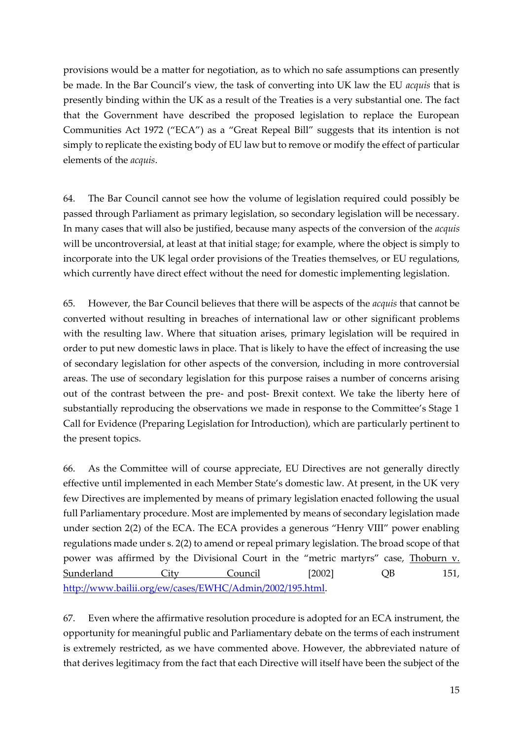provisions would be a matter for negotiation, as to which no safe assumptions can presently be made. In the Bar Council's view, the task of converting into UK law the EU *acquis* that is presently binding within the UK as a result of the Treaties is a very substantial one. The fact that the Government have described the proposed legislation to replace the European Communities Act 1972 ("ECA") as a "Great Repeal Bill" suggests that its intention is not simply to replicate the existing body of EU law but to remove or modify the effect of particular elements of the *acquis*.

64. The Bar Council cannot see how the volume of legislation required could possibly be passed through Parliament as primary legislation, so secondary legislation will be necessary. In many cases that will also be justified, because many aspects of the conversion of the *acquis* will be uncontroversial, at least at that initial stage; for example, where the object is simply to incorporate into the UK legal order provisions of the Treaties themselves, or EU regulations, which currently have direct effect without the need for domestic implementing legislation.

65. However, the Bar Council believes that there will be aspects of the *acquis* that cannot be converted without resulting in breaches of international law or other significant problems with the resulting law. Where that situation arises, primary legislation will be required in order to put new domestic laws in place. That is likely to have the effect of increasing the use of secondary legislation for other aspects of the conversion, including in more controversial areas. The use of secondary legislation for this purpose raises a number of concerns arising out of the contrast between the pre- and post- Brexit context. We take the liberty here of substantially reproducing the observations we made in response to the Committee's Stage 1 Call for Evidence (Preparing Legislation for Introduction), which are particularly pertinent to the present topics.

66. As the Committee will of course appreciate, EU Directives are not generally directly effective until implemented in each Member State's domestic law. At present, in the UK very few Directives are implemented by means of primary legislation enacted following the usual full Parliamentary procedure. Most are implemented by means of secondary legislation made under section 2(2) of the ECA. The ECA provides a generous "Henry VIII" power enabling regulations made under s. 2(2) to amend or repeal primary legislation. The broad scope of that power was affirmed by the Divisional Court in the "metric martyrs" case, Thoburn v. Sunderland City Council [2002] OB 151, [http://www.bailii.org/ew/cases/EWHC/Admin/2002/195.html.](http://www.bailii.org/ew/cases/EWHC/Admin/2002/195.html)

67. Even where the affirmative resolution procedure is adopted for an ECA instrument, the opportunity for meaningful public and Parliamentary debate on the terms of each instrument is extremely restricted, as we have commented above. However, the abbreviated nature of that derives legitimacy from the fact that each Directive will itself have been the subject of the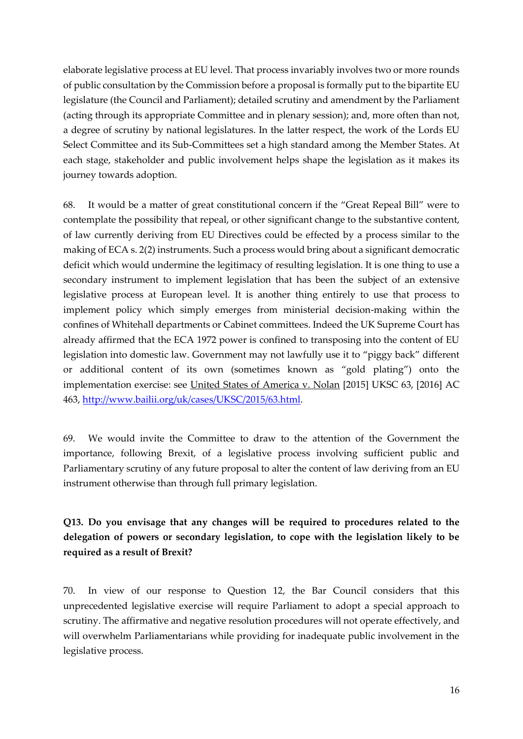elaborate legislative process at EU level. That process invariably involves two or more rounds of public consultation by the Commission before a proposal is formally put to the bipartite EU legislature (the Council and Parliament); detailed scrutiny and amendment by the Parliament (acting through its appropriate Committee and in plenary session); and, more often than not, a degree of scrutiny by national legislatures. In the latter respect, the work of the Lords EU Select Committee and its Sub-Committees set a high standard among the Member States. At each stage, stakeholder and public involvement helps shape the legislation as it makes its journey towards adoption.

68. It would be a matter of great constitutional concern if the "Great Repeal Bill" were to contemplate the possibility that repeal, or other significant change to the substantive content, of law currently deriving from EU Directives could be effected by a process similar to the making of ECA s. 2(2) instruments. Such a process would bring about a significant democratic deficit which would undermine the legitimacy of resulting legislation. It is one thing to use a secondary instrument to implement legislation that has been the subject of an extensive legislative process at European level. It is another thing entirely to use that process to implement policy which simply emerges from ministerial decision-making within the confines of Whitehall departments or Cabinet committees. Indeed the UK Supreme Court has already affirmed that the ECA 1972 power is confined to transposing into the content of EU legislation into domestic law. Government may not lawfully use it to "piggy back" different or additional content of its own (sometimes known as "gold plating") onto the implementation exercise: see United States of America v. Nolan [2015] UKSC 63, [2016] AC 463, [http://www.bailii.org/uk/cases/UKSC/2015/63.html.](http://www.bailii.org/uk/cases/UKSC/2015/63.html)

69. We would invite the Committee to draw to the attention of the Government the importance, following Brexit, of a legislative process involving sufficient public and Parliamentary scrutiny of any future proposal to alter the content of law deriving from an EU instrument otherwise than through full primary legislation.

# **Q13. Do you envisage that any changes will be required to procedures related to the delegation of powers or secondary legislation, to cope with the legislation likely to be required as a result of Brexit?**

70. In view of our response to Question 12, the Bar Council considers that this unprecedented legislative exercise will require Parliament to adopt a special approach to scrutiny. The affirmative and negative resolution procedures will not operate effectively, and will overwhelm Parliamentarians while providing for inadequate public involvement in the legislative process.